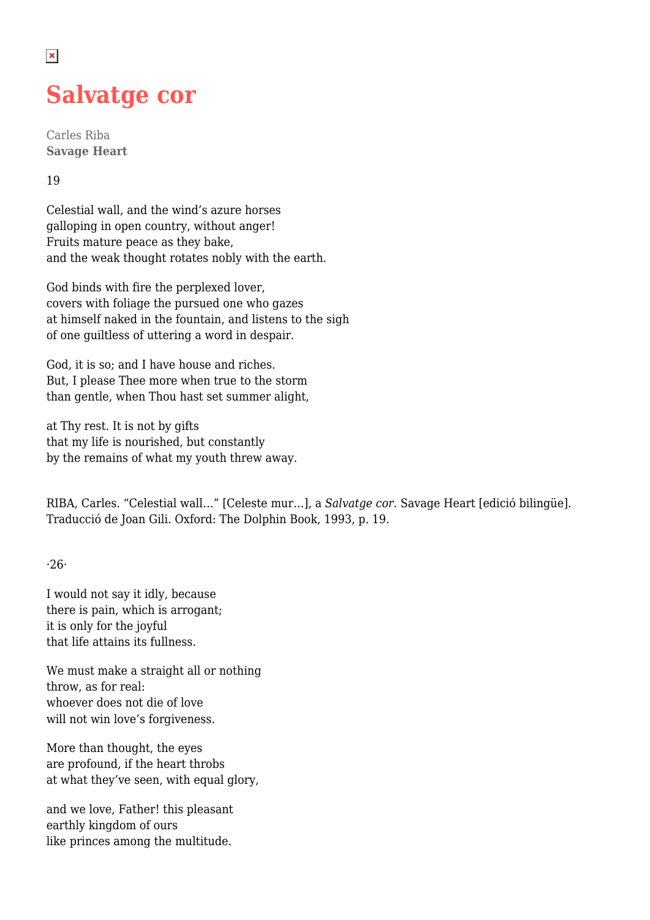## **Salvatge cor**

Carles Riba **Savage Heart**

## 19

 $\pmb{\times}$ 

Celestial wall, and the wind's azure horses galloping in open country, without anger! Fruits mature peace as they bake, and the weak thought rotates nobly with the earth.

God binds with fire the perplexed lover, covers with foliage the pursued one who gazes at himself naked in the fountain, and listens to the sigh of one guiltless of uttering a word in despair.

God, it is so; and I have house and riches. But, I please Thee more when true to the storm than gentle, when Thou hast set summer alight,

at Thy rest. It is not by gifts that my life is nourished, but constantly by the remains of what my youth threw away.

RIBA, Carles. "Celestial wall…" [Celeste mur…], a *Salvatge cor*. Savage Heart [edició bilingüe]. Traducció de Joan Gili. Oxford: The Dolphin Book, 1993, p. 19.

·26·

I would not say it idly, because there is pain, which is arrogant; it is only for the joyful that life attains its fullness.

We must make a straight all or nothing throw, as for real: whoever does not die of love will not win love's forgiveness.

More than thought, the eyes are profound, if the heart throbs at what they've seen, with equal glory,

and we love, Father! this pleasant earthly kingdom of ours like princes among the multitude.